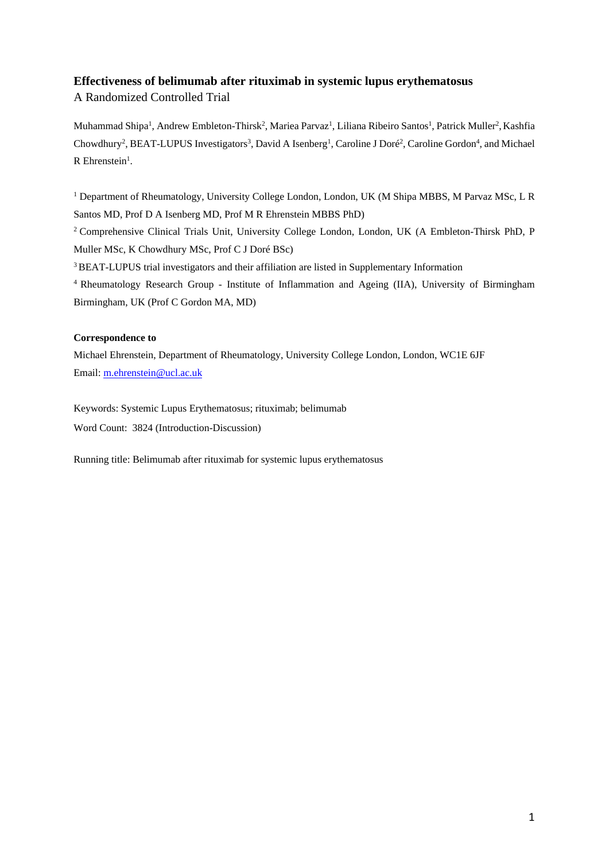# **Effectiveness of belimumab after rituximab in systemic lupus erythematosus**

A Randomized Controlled Trial

Muhammad Shipa<sup>1</sup>, Andrew Embleton-Thirsk<sup>2</sup>, Mariea Parvaz<sup>1</sup>, Liliana Ribeiro Santos<sup>1</sup>, Patrick Muller<sup>2</sup>, Kashfia Chowdhury<sup>2</sup>, BEAT-LUPUS Investigators<sup>3</sup>, David A Isenberg<sup>1</sup>, Caroline J Doré<sup>2</sup>, Caroline Gordon<sup>4</sup>, and Michael  $R$  Ehrenstein<sup>1</sup>.

<sup>1</sup> Department of Rheumatology, University College London, London, UK (M Shipa MBBS, M Parvaz MSc, L R Santos MD, Prof D A Isenberg MD, Prof M R Ehrenstein MBBS PhD)

<sup>2</sup> Comprehensive Clinical Trials Unit, University College London, London, UK (A Embleton-Thirsk PhD, P Muller MSc, K Chowdhury MSc, Prof C J Doré BSc)

<sup>3</sup> BEAT-LUPUS trial investigators and their affiliation are listed in Supplementary Information

<sup>4</sup> Rheumatology Research Group - Institute of Inflammation and Ageing (IIA), University of Birmingham Birmingham, UK (Prof C Gordon MA, MD)

## **Correspondence to**

Michael Ehrenstein, Department of Rheumatology, University College London, London, WC1E 6JF Email: [m.ehrenstein@ucl.ac.uk](mailto:m.ehrenstein@ucl.ac.uk)

Keywords: Systemic Lupus Erythematosus; rituximab; belimumab

Word Count: 3824 (Introduction-Discussion)

Running title: Belimumab after rituximab for systemic lupus erythematosus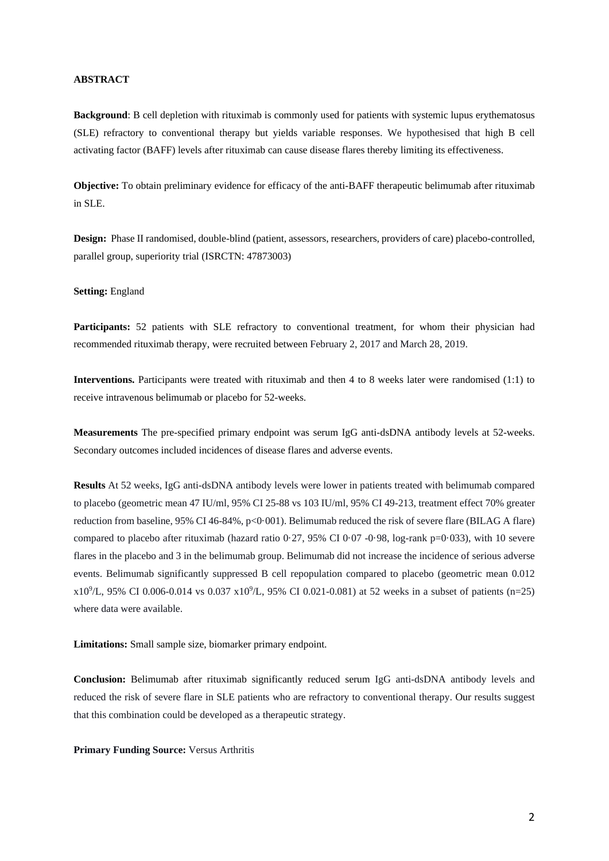## **ABSTRACT**

**Background**: B cell depletion with rituximab is commonly used for patients with systemic lupus erythematosus (SLE) refractory to conventional therapy but yields variable responses. We hypothesised that high B cell activating factor (BAFF) levels after rituximab can cause disease flares thereby limiting its effectiveness.

**Objective:** To obtain preliminary evidence for efficacy of the anti-BAFF therapeutic belimumab after rituximab in SLE.

**Design:** Phase II randomised, double-blind (patient, assessors, researchers, providers of care) placebo-controlled, parallel group, superiority trial (ISRCTN: 47873003)

## **Setting:** England

**Participants:** 52 patients with SLE refractory to conventional treatment, for whom their physician had recommended rituximab therapy, were recruited between February 2, 2017 and March 28, 2019.

**Interventions.** Participants were treated with rituximab and then 4 to 8 weeks later were randomised (1:1) to receive intravenous belimumab or placebo for 52-weeks.

**Measurements** The pre-specified primary endpoint was serum IgG anti-dsDNA antibody levels at 52-weeks. Secondary outcomes included incidences of disease flares and adverse events.

**Results** At 52 weeks, IgG anti-dsDNA antibody levels were lower in patients treated with belimumab compared to placebo (geometric mean 47 IU/ml, 95% CI 25-88 vs 103 IU/ml, 95% CI 49-213, treatment effect 70% greater reduction from baseline, 95% CI 46-84%, p<0.001). Belimumab reduced the risk of severe flare (BILAG A flare) compared to placebo after rituximab (hazard ratio 0.27, 95% CI 0.07 -0.98, log-rank p=0.033), with 10 severe flares in the placebo and 3 in the belimumab group. Belimumab did not increase the incidence of serious adverse events. Belimumab significantly suppressed B cell repopulation compared to placebo (geometric mean 0.012 x10<sup>9</sup> /L, 95% CI 0.006-0.014 vs 0.037 x10<sup>9</sup> /L, 95% CI 0.021-0.081) at 52 weeks in a subset of patients (n=25) where data were available.

**Limitations:** Small sample size, biomarker primary endpoint.

**Conclusion:** Belimumab after rituximab significantly reduced serum IgG anti-dsDNA antibody levels and reduced the risk of severe flare in SLE patients who are refractory to conventional therapy. Our results suggest that this combination could be developed as a therapeutic strategy.

**Primary Funding Source:** Versus Arthritis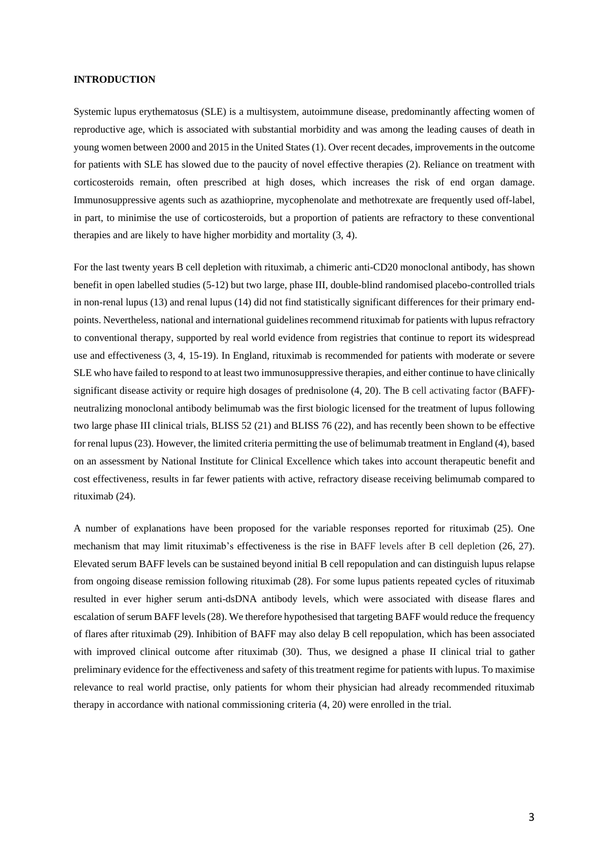## **INTRODUCTION**

Systemic lupus erythematosus (SLE) is a multisystem, autoimmune disease, predominantly affecting women of reproductive age, which is associated with substantial morbidity and was among the leading causes of death in young women between 2000 and 2015 in the United States (1). Over recent decades, improvements in the outcome for patients with SLE has slowed due to the paucity of novel effective therapies (2). Reliance on treatment with corticosteroids remain, often prescribed at high doses, which increases the risk of end organ damage. Immunosuppressive agents such as azathioprine, mycophenolate and methotrexate are frequently used off-label, in part, to minimise the use of corticosteroids, but a proportion of patients are refractory to these conventional therapies and are likely to have higher morbidity and mortality (3, 4).

For the last twenty years B cell depletion with rituximab, a chimeric anti-CD20 monoclonal antibody, has shown benefit in open labelled studies (5-12) but two large, phase III, double-blind randomised placebo-controlled trials in non-renal lupus (13) and renal lupus (14) did not find statistically significant differences for their primary endpoints. Nevertheless, national and international guidelines recommend rituximab for patients with lupus refractory to conventional therapy, supported by real world evidence from registries that continue to report its widespread use and effectiveness (3, 4, 15-19). In England, rituximab is recommended for patients with moderate or severe SLE who have failed to respond to at least two immunosuppressive therapies, and either continue to have clinically significant disease activity or require high dosages of prednisolone (4, 20). The B cell activating factor (BAFF) neutralizing monoclonal antibody belimumab was the first biologic licensed for the treatment of lupus following two large phase III clinical trials, BLISS 52 (21) and BLISS 76 (22), and has recently been shown to be effective for renal lupus (23). However, the limited criteria permitting the use of belimumab treatment in England (4), based on an assessment by National Institute for Clinical Excellence which takes into account therapeutic benefit and cost effectiveness, results in far fewer patients with active, refractory disease receiving belimumab compared to rituximab (24).

A number of explanations have been proposed for the variable responses reported for rituximab (25). One mechanism that may limit rituximab's effectiveness is the rise in BAFF levels after B cell depletion (26, 27). Elevated serum BAFF levels can be sustained beyond initial B cell repopulation and can distinguish lupus relapse from ongoing disease remission following rituximab (28). For some lupus patients repeated cycles of rituximab resulted in ever higher serum anti-dsDNA antibody levels, which were associated with disease flares and escalation of serum BAFF levels (28). We therefore hypothesised that targeting BAFF would reduce the frequency of flares after rituximab (29). Inhibition of BAFF may also delay B cell repopulation, which has been associated with improved clinical outcome after rituximab (30). Thus, we designed a phase II clinical trial to gather preliminary evidence for the effectiveness and safety of this treatment regime for patients with lupus. To maximise relevance to real world practise, only patients for whom their physician had already recommended rituximab therapy in accordance with national commissioning criteria (4, 20) were enrolled in the trial.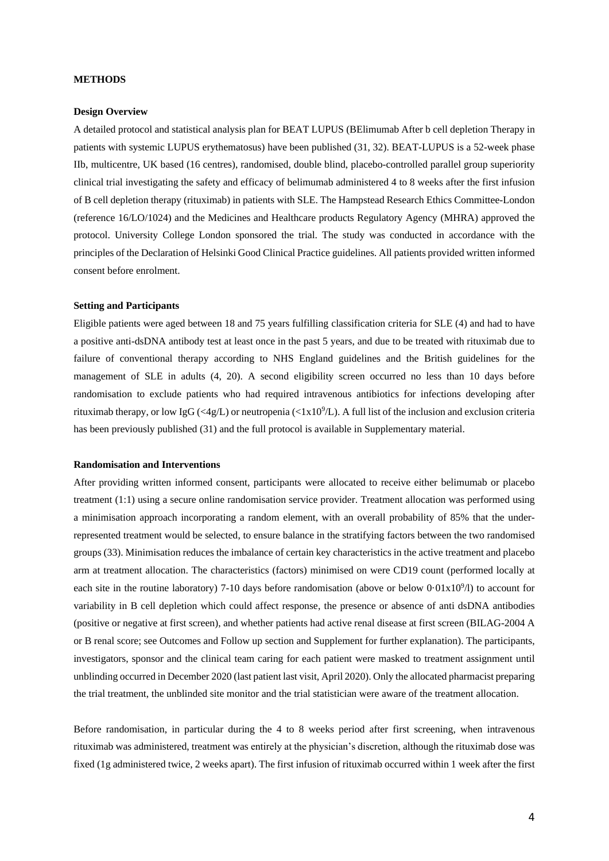## **METHODS**

#### **Design Overview**

A detailed protocol and statistical analysis plan for BEAT LUPUS (BElimumab After b cell depletion Therapy in patients with systemic LUPUS erythematosus) have been published (31, 32). BEAT-LUPUS is a 52-week phase IIb, multicentre, UK based (16 centres), randomised, double blind, placebo-controlled parallel group superiority clinical trial investigating the safety and efficacy of belimumab administered 4 to 8 weeks after the first infusion of B cell depletion therapy (rituximab) in patients with SLE. The Hampstead Research Ethics Committee-London (reference 16/LO/1024) and the Medicines and Healthcare products Regulatory Agency (MHRA) approved the protocol. University College London sponsored the trial. The study was conducted in accordance with the principles of the Declaration of Helsinki Good Clinical Practice guidelines. All patients provided written informed consent before enrolment.

#### **Setting and Participants**

Eligible patients were aged between 18 and 75 years fulfilling classification criteria for SLE (4) and had to have a positive anti-dsDNA antibody test at least once in the past 5 years, and due to be treated with rituximab due to failure of conventional therapy according to NHS England guidelines and the British guidelines for the management of SLE in adults (4, 20). A second eligibility screen occurred no less than 10 days before randomisation to exclude patients who had required intravenous antibiotics for infections developing after rituximab therapy, or low IgG (<4g/L) or neutropenia (<1x10<sup>9</sup>/L). A full list of the inclusion and exclusion criteria has been previously published (31) and the full protocol is available in Supplementary material.

## **Randomisation and Interventions**

After providing written informed consent, participants were allocated to receive either belimumab or placebo treatment (1:1) using a secure online randomisation service provider. Treatment allocation was performed using a minimisation approach incorporating a random element, with an overall probability of 85% that the underrepresented treatment would be selected, to ensure balance in the stratifying factors between the two randomised groups (33). Minimisation reduces the imbalance of certain key characteristics in the active treatment and placebo arm at treatment allocation. The characteristics (factors) minimised on were CD19 count (performed locally at each site in the routine laboratory) 7-10 days before randomisation (above or below 0.01x10<sup>9</sup>/l) to account for variability in B cell depletion which could affect response, the presence or absence of anti dsDNA antibodies (positive or negative at first screen), and whether patients had active renal disease at first screen (BILAG-2004 A or B renal score; see Outcomes and Follow up section and Supplement for further explanation). The participants, investigators, sponsor and the clinical team caring for each patient were masked to treatment assignment until unblinding occurred in December 2020 (last patient last visit, April 2020). Only the allocated pharmacist preparing the trial treatment, the unblinded site monitor and the trial statistician were aware of the treatment allocation.

Before randomisation, in particular during the 4 to 8 weeks period after first screening, when intravenous rituximab was administered, treatment was entirely at the physician's discretion, although the rituximab dose was fixed (1g administered twice, 2 weeks apart). The first infusion of rituximab occurred within 1 week after the first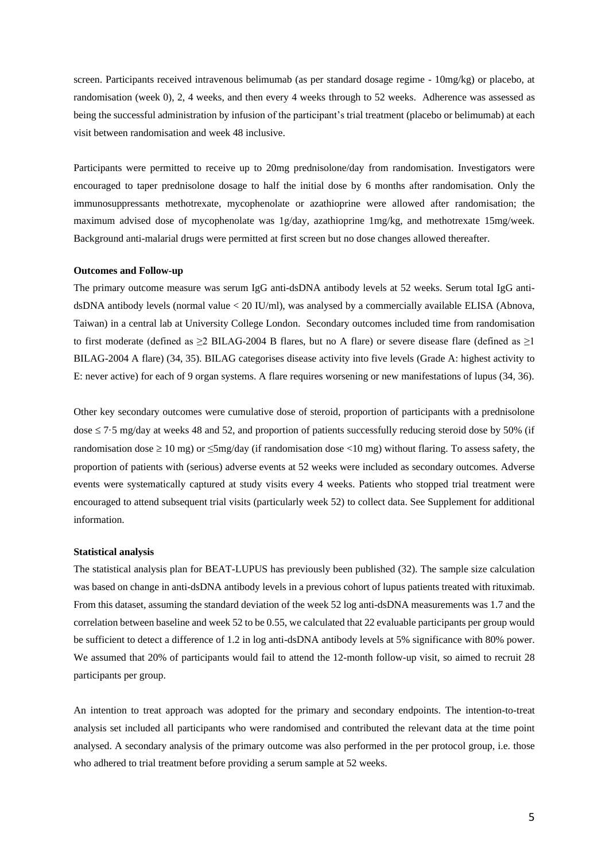screen. Participants received intravenous belimumab (as per standard dosage regime - 10mg/kg) or placebo, at randomisation (week 0), 2, 4 weeks, and then every 4 weeks through to 52 weeks. Adherence was assessed as being the successful administration by infusion of the participant's trial treatment (placebo or belimumab) at each visit between randomisation and week 48 inclusive.

Participants were permitted to receive up to 20mg prednisolone/day from randomisation. Investigators were encouraged to taper prednisolone dosage to half the initial dose by 6 months after randomisation. Only the immunosuppressants methotrexate, mycophenolate or azathioprine were allowed after randomisation; the maximum advised dose of mycophenolate was 1g/day, azathioprine 1mg/kg, and methotrexate 15mg/week. Background anti-malarial drugs were permitted at first screen but no dose changes allowed thereafter.

#### **Outcomes and Follow-up**

The primary outcome measure was serum IgG anti-dsDNA antibody levels at 52 weeks. Serum total IgG antidsDNA antibody levels (normal value < 20 IU/ml), was analysed by a commercially available ELISA (Abnova, Taiwan) in a central lab at University College London. Secondary outcomes included time from randomisation to first moderate (defined as  $\geq 2$  BILAG-2004 B flares, but no A flare) or severe disease flare (defined as  $\geq 1$ BILAG-2004 A flare) (34, 35). BILAG categorises disease activity into five levels (Grade A: highest activity to E: never active) for each of 9 organ systems. A flare requires worsening or new manifestations of lupus (34, 36).

Other key secondary outcomes were cumulative dose of steroid, proportion of participants with a prednisolone dose  $\le$  7·5 mg/day at weeks 48 and 52, and proportion of patients successfully reducing steroid dose by 50% (if randomisation dose  $\geq 10$  mg) or  $\leq$ 5mg/day (if randomisation dose <10 mg) without flaring. To assess safety, the proportion of patients with (serious) adverse events at 52 weeks were included as secondary outcomes. Adverse events were systematically captured at study visits every 4 weeks. Patients who stopped trial treatment were encouraged to attend subsequent trial visits (particularly week 52) to collect data. See Supplement for additional information.

#### **Statistical analysis**

The statistical analysis plan for BEAT-LUPUS has previously been published (32). The sample size calculation was based on change in anti-dsDNA antibody levels in a previous cohort of lupus patients treated with rituximab. From this dataset, assuming the standard deviation of the week 52 log anti-dsDNA measurements was 1.7 and the correlation between baseline and week 52 to be 0.55, we calculated that 22 evaluable participants per group would be sufficient to detect a difference of 1.2 in log anti-dsDNA antibody levels at 5% significance with 80% power. We assumed that 20% of participants would fail to attend the 12-month follow-up visit, so aimed to recruit 28 participants per group.

An intention to treat approach was adopted for the primary and secondary endpoints. The intention-to-treat analysis set included all participants who were randomised and contributed the relevant data at the time point analysed. A secondary analysis of the primary outcome was also performed in the per protocol group, i.e. those who adhered to trial treatment before providing a serum sample at 52 weeks.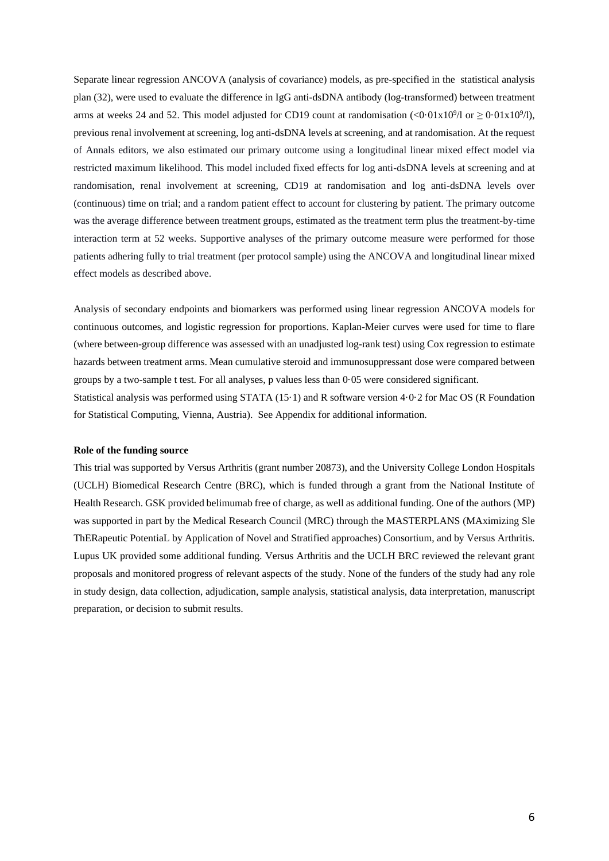Separate linear regression ANCOVA (analysis of covariance) models, as pre-specified in the statistical analysis plan (32), were used to evaluate the difference in IgG anti-dsDNA antibody (log-transformed) between treatment arms at weeks 24 and 52. This model adjusted for CD19 count at randomisation  $(<0.01x10^9/1$  or  $\geq 0.01x10^9/1$ ), previous renal involvement at screening, log anti-dsDNA levels at screening, and at randomisation. At the request of Annals editors, we also estimated our primary outcome using a longitudinal linear mixed effect model via restricted maximum likelihood. This model included fixed effects for log anti-dsDNA levels at screening and at randomisation, renal involvement at screening, CD19 at randomisation and log anti-dsDNA levels over (continuous) time on trial; and a random patient effect to account for clustering by patient. The primary outcome was the average difference between treatment groups, estimated as the treatment term plus the treatment-by-time interaction term at 52 weeks. Supportive analyses of the primary outcome measure were performed for those patients adhering fully to trial treatment (per protocol sample) using the ANCOVA and longitudinal linear mixed effect models as described above.

Analysis of secondary endpoints and biomarkers was performed using linear regression ANCOVA models for continuous outcomes, and logistic regression for proportions. Kaplan-Meier curves were used for time to flare (where between-group difference was assessed with an unadjusted log-rank test) using Cox regression to estimate hazards between treatment arms. Mean cumulative steroid and immunosuppressant dose were compared between groups by a two-sample t test. For all analyses, p values less than 0·05 were considered significant. Statistical analysis was performed using STATA (15·1) and R software version 4·0·2 for Mac OS (R Foundation for Statistical Computing, Vienna, Austria). See Appendix for additional information.

### **Role of the funding source**

This trial was supported by Versus Arthritis (grant number 20873), and the University College London Hospitals (UCLH) Biomedical Research Centre (BRC), which is funded through a grant from the National Institute of Health Research. GSK provided belimumab free of charge, as well as additional funding. One of the authors (MP) was supported in part by the Medical Research Council (MRC) through the MASTERPLANS (MAximizing Sle ThERapeutic PotentiaL by Application of Novel and Stratified approaches) Consortium, and by Versus Arthritis. Lupus UK provided some additional funding. Versus Arthritis and the UCLH BRC reviewed the relevant grant proposals and monitored progress of relevant aspects of the study. None of the funders of the study had any role in study design, data collection, adjudication, sample analysis, statistical analysis, data interpretation, manuscript preparation, or decision to submit results.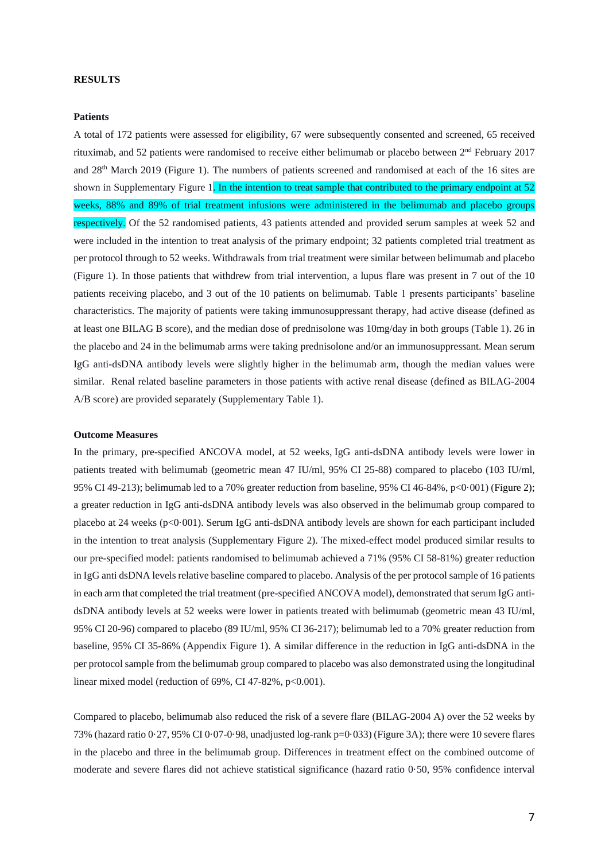## **RESULTS**

#### **Patients**

A total of 172 patients were assessed for eligibility, 67 were subsequently consented and screened, 65 received rituximab, and 52 patients were randomised to receive either belimumab or placebo between 2<sup>nd</sup> February 2017 and 28th March 2019 (Figure 1). The numbers of patients screened and randomised at each of the 16 sites are shown in Supplementary Figure 1. In the intention to treat sample that contributed to the primary endpoint at 52 weeks, 88% and 89% of trial treatment infusions were administered in the belimumab and placebo groups respectively. Of the 52 randomised patients, 43 patients attended and provided serum samples at week 52 and were included in the intention to treat analysis of the primary endpoint; 32 patients completed trial treatment as per protocol through to 52 weeks. Withdrawals from trial treatment were similar between belimumab and placebo (Figure 1). In those patients that withdrew from trial intervention, a lupus flare was present in 7 out of the 10 patients receiving placebo, and 3 out of the 10 patients on belimumab. Table 1 presents participants' baseline characteristics. The majority of patients were taking immunosuppressant therapy, had active disease (defined as at least one BILAG B score), and the median dose of prednisolone was 10mg/day in both groups (Table 1). 26 in the placebo and 24 in the belimumab arms were taking prednisolone and/or an immunosuppressant. Mean serum IgG anti-dsDNA antibody levels were slightly higher in the belimumab arm, though the median values were similar. Renal related baseline parameters in those patients with active renal disease (defined as BILAG-2004 A/B score) are provided separately (Supplementary Table 1).

#### **Outcome Measures**

In the primary, pre-specified ANCOVA model, at 52 weeks, IgG anti-dsDNA antibody levels were lower in patients treated with belimumab (geometric mean 47 IU/ml, 95% CI 25-88) compared to placebo (103 IU/ml, 95% CI 49-213); belimumab led to a 70% greater reduction from baseline, 95% CI 46-84%, p<0·001) (Figure 2); a greater reduction in IgG anti-dsDNA antibody levels was also observed in the belimumab group compared to placebo at 24 weeks (p<0·001). Serum IgG anti-dsDNA antibody levels are shown for each participant included in the intention to treat analysis (Supplementary Figure 2). The mixed-effect model produced similar results to our pre-specified model: patients randomised to belimumab achieved a 71% (95% CI 58-81%) greater reduction in IgG anti dsDNA levels relative baseline compared to placebo. Analysis of the per protocol sample of 16 patients in each arm that completed the trial treatment (pre-specified ANCOVA model), demonstrated that serum IgG antidsDNA antibody levels at 52 weeks were lower in patients treated with belimumab (geometric mean 43 IU/ml, 95% CI 20-96) compared to placebo (89 IU/ml, 95% CI 36-217); belimumab led to a 70% greater reduction from baseline, 95% CI 35-86% (Appendix Figure 1). A similar difference in the reduction in IgG anti-dsDNA in the per protocol sample from the belimumab group compared to placebo was also demonstrated using the longitudinal linear mixed model (reduction of  $69\%$ , CI 47-82%, p<0.001).

Compared to placebo, belimumab also reduced the risk of a severe flare (BILAG-2004 A) over the 52 weeks by 73% (hazard ratio 0·27, 95% CI 0·07-0·98, unadjusted log-rank p=0·033) (Figure 3A); there were 10 severe flares in the placebo and three in the belimumab group. Differences in treatment effect on the combined outcome of moderate and severe flares did not achieve statistical significance (hazard ratio 0·50, 95% confidence interval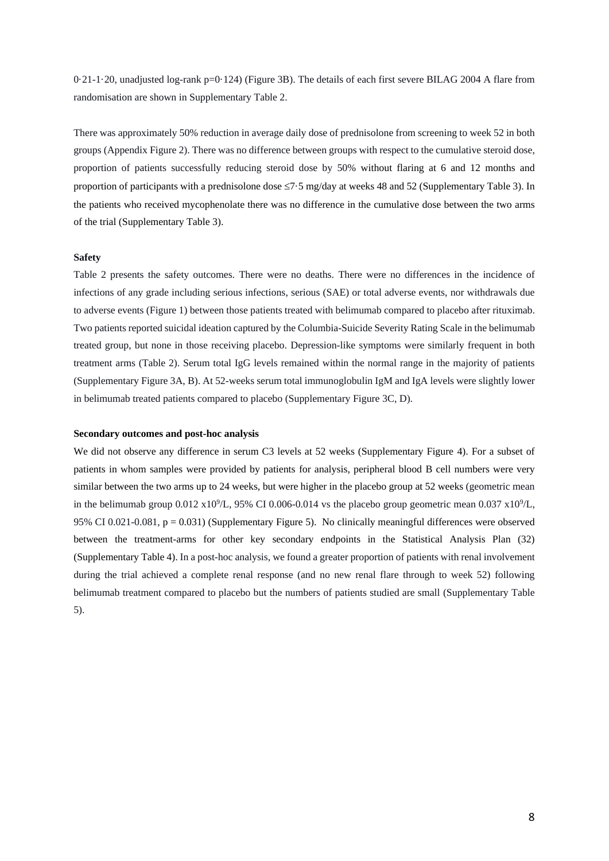0·21-1·20, unadjusted log-rank p=0·124) (Figure 3B). The details of each first severe BILAG 2004 A flare from randomisation are shown in Supplementary Table 2.

There was approximately 50% reduction in average daily dose of prednisolone from screening to week 52 in both groups (Appendix Figure 2). There was no difference between groups with respect to the cumulative steroid dose, proportion of patients successfully reducing steroid dose by 50% without flaring at 6 and 12 months and proportion of participants with a prednisolone dose  $\leq 7.5$  mg/day at weeks 48 and 52 (Supplementary Table 3). In the patients who received mycophenolate there was no difference in the cumulative dose between the two arms of the trial (Supplementary Table 3).

## **Safety**

Table 2 presents the safety outcomes. There were no deaths. There were no differences in the incidence of infections of any grade including serious infections, serious (SAE) or total adverse events, nor withdrawals due to adverse events (Figure 1) between those patients treated with belimumab compared to placebo after rituximab. Two patients reported suicidal ideation captured by the Columbia-Suicide Severity Rating Scale in the belimumab treated group, but none in those receiving placebo. Depression-like symptoms were similarly frequent in both treatment arms (Table 2). Serum total IgG levels remained within the normal range in the majority of patients (Supplementary Figure 3A, B). At 52-weeks serum total immunoglobulin IgM and IgA levels were slightly lower in belimumab treated patients compared to placebo (Supplementary Figure 3C, D).

## **Secondary outcomes and post-hoc analysis**

We did not observe any difference in serum C3 levels at 52 weeks (Supplementary Figure 4). For a subset of patients in whom samples were provided by patients for analysis, peripheral blood B cell numbers were very similar between the two arms up to 24 weeks, but were higher in the placebo group at 52 weeks (geometric mean in the belimumab group  $0.012 \times 10^9$ /L, 95% CI 0.006-0.014 vs the placebo group geometric mean 0.037  $\times 10^9$ /L, 95% CI 0.021-0.081,  $p = 0.031$ ) (Supplementary Figure 5). No clinically meaningful differences were observed between the treatment-arms for other key secondary endpoints in the Statistical Analysis Plan (32) (Supplementary Table 4). In a post-hoc analysis, we found a greater proportion of patients with renal involvement during the trial achieved a complete renal response (and no new renal flare through to week 52) following belimumab treatment compared to placebo but the numbers of patients studied are small (Supplementary Table 5).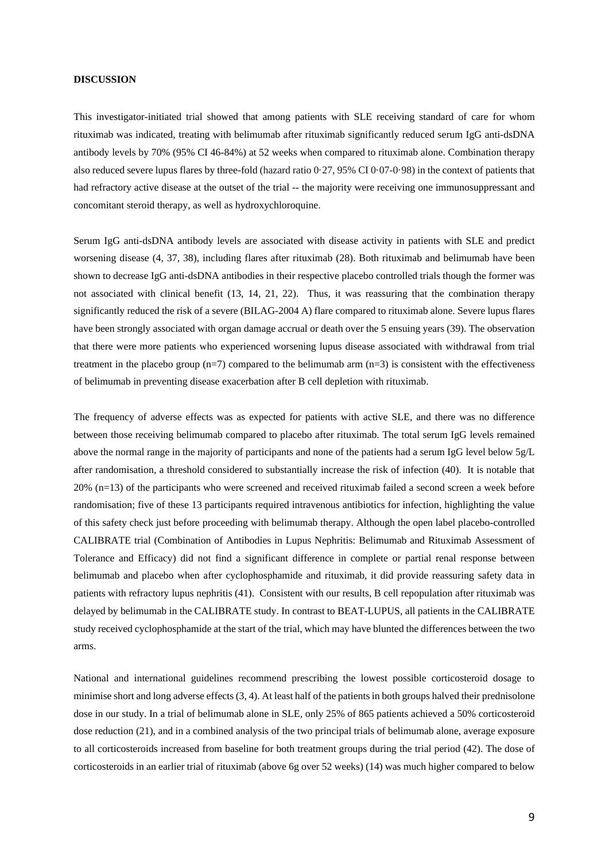### **DISCUSSION**

This investigator-initiated trial showed that among patients with SLE receiving standard of care for whom rituximab was indicated, treating with belimumab after rituximab significantly reduced serum IgG anti-dsDNA antibody levels by 70% (95% CI 46-84%) at 52 weeks when compared to rituximab alone. Combination therapy also reduced severe lupus flares by three-fold (hazard ratio 0·27, 95% CI 0·07-0·98) in the context of patients that had refractory active disease at the outset of the trial -- the majority were receiving one immunosuppressant and concomitant steroid therapy, as well as hydroxychloroquine.

Serum IgG anti-dsDNA antibody levels are associated with disease activity in patients with SLE and predict worsening disease (4, 37, 38), including flares after rituximab (28). Both rituximab and belimumab have been shown to decrease IgG anti-dsDNA antibodies in their respective placebo controlled trials though the former was not associated with clinical benefit (13, 14, 21, 22). Thus, it was reassuring that the combination therapy significantly reduced the risk of a severe (BILAG-2004 A) flare compared to rituximab alone. Severe lupus flares have been strongly associated with organ damage accrual or death over the 5 ensuing years (39). The observation that there were more patients who experienced worsening lupus disease associated with withdrawal from trial treatment in the placebo group  $(n=7)$  compared to the belimumab arm  $(n=3)$  is consistent with the effectiveness of belimumab in preventing disease exacerbation after B cell depletion with rituximab.

The frequency of adverse effects was as expected for patients with active SLE, and there was no difference between those receiving belimumab compared to placebo after rituximab. The total serum IgG levels remained above the normal range in the majority of participants and none of the patients had a serum IgG level below 5g/L after randomisation, a threshold considered to substantially increase the risk of infection (40). It is notable that 20% (n=13) of the participants who were screened and received rituximab failed a second screen a week before randomisation; five of these 13 participants required intravenous antibiotics for infection, highlighting the value of this safety check just before proceeding with belimumab therapy. Although the open label placebo-controlled CALIBRATE trial (Combination of Antibodies in Lupus Nephritis: Belimumab and Rituximab Assessment of Tolerance and Efficacy) did not find a significant difference in complete or partial renal response between belimumab and placebo when after cyclophosphamide and rituximab, it did provide reassuring safety data in patients with refractory lupus nephritis (41). Consistent with our results, B cell repopulation after rituximab was delayed by belimumab in the CALIBRATE study. In contrast to BEAT-LUPUS, all patients in the CALIBRATE study received cyclophosphamide at the start of the trial, which may have blunted the differences between the two arms.

National and international guidelines recommend prescribing the lowest possible corticosteroid dosage to minimise short and long adverse effects (3, 4). At least half of the patients in both groups halved their prednisolone dose in our study. In a trial of belimumab alone in SLE, only 25% of 865 patients achieved a 50% corticosteroid dose reduction (21), and in a combined analysis of the two principal trials of belimumab alone, average exposure to all corticosteroids increased from baseline for both treatment groups during the trial period (42). The dose of corticosteroids in an earlier trial of rituximab (above 6g over 52 weeks) (14) was much higher compared to below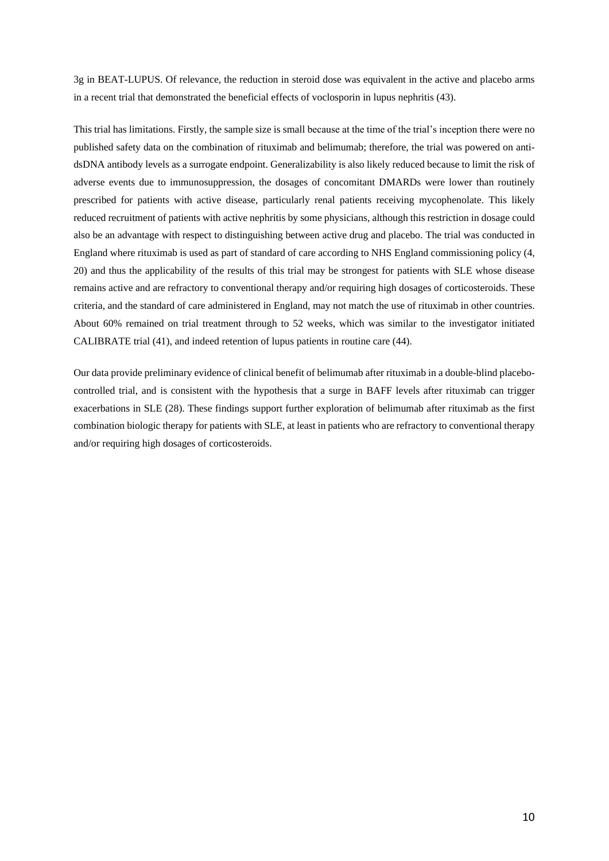3g in BEAT-LUPUS. Of relevance, the reduction in steroid dose was equivalent in the active and placebo arms in a recent trial that demonstrated the beneficial effects of voclosporin in lupus nephritis (43).

This trial has limitations. Firstly, the sample size is small because at the time of the trial's inception there were no published safety data on the combination of rituximab and belimumab; therefore, the trial was powered on antidsDNA antibody levels as a surrogate endpoint. Generalizability is also likely reduced because to limit the risk of adverse events due to immunosuppression, the dosages of concomitant DMARDs were lower than routinely prescribed for patients with active disease, particularly renal patients receiving mycophenolate. This likely reduced recruitment of patients with active nephritis by some physicians, although this restriction in dosage could also be an advantage with respect to distinguishing between active drug and placebo. The trial was conducted in England where rituximab is used as part of standard of care according to NHS England commissioning policy (4, 20) and thus the applicability of the results of this trial may be strongest for patients with SLE whose disease remains active and are refractory to conventional therapy and/or requiring high dosages of corticosteroids. These criteria, and the standard of care administered in England, may not match the use of rituximab in other countries. About 60% remained on trial treatment through to 52 weeks, which was similar to the investigator initiated CALIBRATE trial (41), and indeed retention of lupus patients in routine care (44).

Our data provide preliminary evidence of clinical benefit of belimumab after rituximab in a double-blind placebocontrolled trial, and is consistent with the hypothesis that a surge in BAFF levels after rituximab can trigger exacerbations in SLE (28). These findings support further exploration of belimumab after rituximab as the first combination biologic therapy for patients with SLE, at least in patients who are refractory to conventional therapy and/or requiring high dosages of corticosteroids.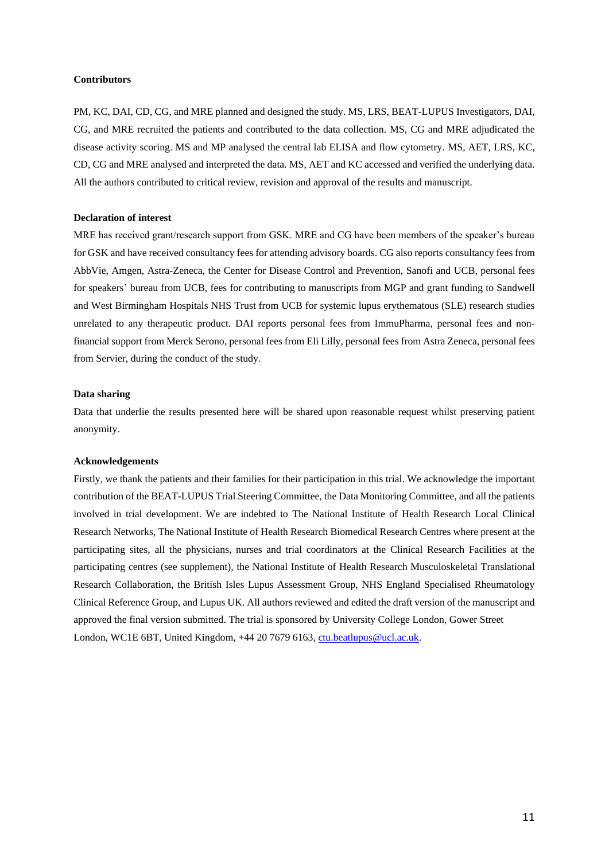## **Contributors**

PM, KC, DAI, CD, CG, and MRE planned and designed the study. MS, LRS, BEAT-LUPUS Investigators, DAI, CG, and MRE recruited the patients and contributed to the data collection. MS, CG and MRE adjudicated the disease activity scoring. MS and MP analysed the central lab ELISA and flow cytometry. MS, AET, LRS, KC, CD, CG and MRE analysed and interpreted the data. MS, AET and KC accessed and verified the underlying data. All the authors contributed to critical review, revision and approval of the results and manuscript.

## **Declaration of interest**

MRE has received grant/research support from GSK. MRE and CG have been members of the speaker's bureau for GSK and have received consultancy fees for attending advisory boards. CG also reports consultancy fees from AbbVie, Amgen, Astra-Zeneca, the Center for Disease Control and Prevention, Sanofi and UCB, personal fees for speakers' bureau from UCB, fees for contributing to manuscripts from MGP and grant funding to Sandwell and West Birmingham Hospitals NHS Trust from UCB for systemic lupus erythematous (SLE) research studies unrelated to any therapeutic product. DAI reports personal fees from ImmuPharma, personal fees and nonfinancial support from Merck Serono, personal fees from Eli Lilly, personal fees from Astra Zeneca, personal fees from Servier, during the conduct of the study.

#### **Data sharing**

Data that underlie the results presented here will be shared upon reasonable request whilst preserving patient anonymity.

#### **Acknowledgements**

Firstly, we thank the patients and their families for their participation in this trial. We acknowledge the important contribution of the BEAT-LUPUS Trial Steering Committee, the Data Monitoring Committee, and all the patients involved in trial development. We are indebted to The National Institute of Health Research Local Clinical Research Networks, The National Institute of Health Research Biomedical Research Centres where present at the participating sites, all the physicians, nurses and trial coordinators at the Clinical Research Facilities at the participating centres (see supplement), the National Institute of Health Research Musculoskeletal Translational Research Collaboration, the British Isles Lupus Assessment Group, NHS England Specialised Rheumatology Clinical Reference Group, and Lupus UK. All authors reviewed and edited the draft version of the manuscript and approved the final version submitted. The trial is sponsored by University College London, Gower Street London, WC1E 6BT, United Kingdom, +44 20 7679 6163, [ctu.beatlupus@ucl.ac.uk.](mailto:ctu.beatlupus@ucl.ac.uk)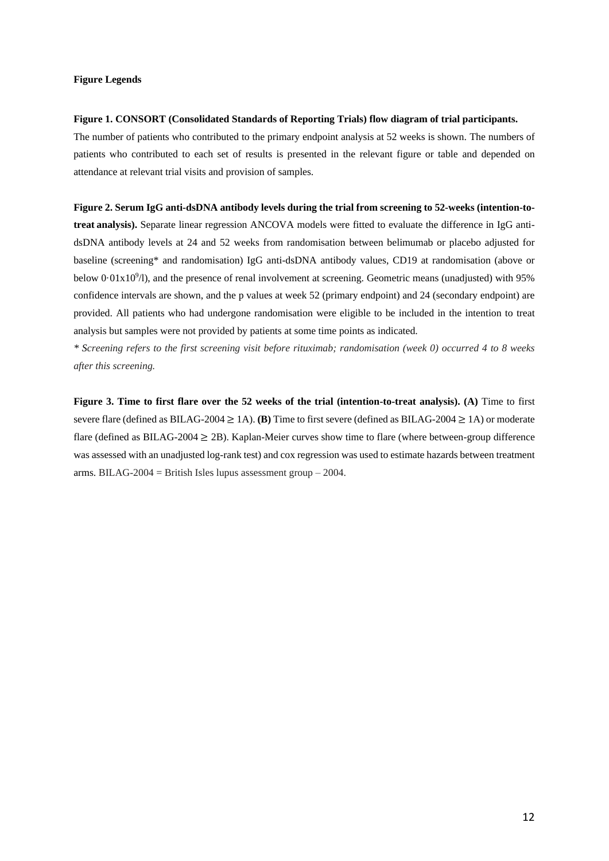## **Figure Legends**

#### **Figure 1. CONSORT (Consolidated Standards of Reporting Trials) flow diagram of trial participants.**

The number of patients who contributed to the primary endpoint analysis at 52 weeks is shown. The numbers of patients who contributed to each set of results is presented in the relevant figure or table and depended on attendance at relevant trial visits and provision of samples.

## **Figure 2. Serum IgG anti-dsDNA antibody levels during the trial from screening to 52-weeks (intention-to-**

**treat analysis).** Separate linear regression ANCOVA models were fitted to evaluate the difference in IgG antidsDNA antibody levels at 24 and 52 weeks from randomisation between belimumab or placebo adjusted for baseline (screening\* and randomisation) IgG anti-dsDNA antibody values, CD19 at randomisation (above or below  $0.01 \times 10^9$ /l), and the presence of renal involvement at screening. Geometric means (unadjusted) with 95% confidence intervals are shown, and the p values at week 52 (primary endpoint) and 24 (secondary endpoint) are provided. All patients who had undergone randomisation were eligible to be included in the intention to treat analysis but samples were not provided by patients at some time points as indicated.

*\* Screening refers to the first screening visit before rituximab; randomisation (week 0) occurred 4 to 8 weeks after this screening.*

**Figure 3. Time to first flare over the 52 weeks of the trial (intention-to-treat analysis). (A)** Time to first severe flare (defined as BILAG-2004 ≥ 1A). **(B)** Time to first severe (defined as BILAG-2004 ≥ 1A) or moderate flare (defined as BILAG-2004  $\geq$  2B). Kaplan-Meier curves show time to flare (where between-group difference was assessed with an unadjusted log-rank test) and cox regression was used to estimate hazards between treatment arms. BILAG-2004 = British Isles lupus assessment group  $-2004$ .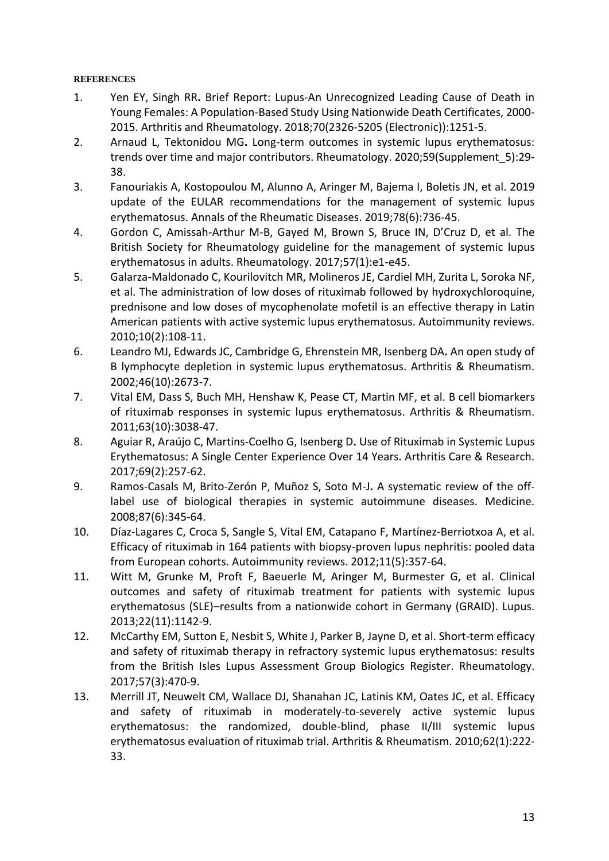## **REFERENCES**

- 1. Yen EY, Singh RR**.** Brief Report: Lupus-An Unrecognized Leading Cause of Death in Young Females: A Population-Based Study Using Nationwide Death Certificates, 2000- 2015. Arthritis and Rheumatology. 2018;70(2326-5205 (Electronic)):1251-5.
- 2. Arnaud L, Tektonidou MG**.** Long-term outcomes in systemic lupus erythematosus: trends over time and major contributors. Rheumatology. 2020;59(Supplement\_5):29- 38.
- 3. Fanouriakis A, Kostopoulou M, Alunno A, Aringer M, Bajema I, Boletis JN, et al. 2019 update of the EULAR recommendations for the management of systemic lupus erythematosus. Annals of the Rheumatic Diseases. 2019;78(6):736-45.
- 4. Gordon C, Amissah-Arthur M-B, Gayed M, Brown S, Bruce IN, D'Cruz D, et al. The British Society for Rheumatology guideline for the management of systemic lupus erythematosus in adults. Rheumatology. 2017;57(1):e1-e45.
- 5. Galarza-Maldonado C, Kourilovitch MR, Molineros JE, Cardiel MH, Zurita L, Soroka NF, et al. The administration of low doses of rituximab followed by hydroxychloroquine, prednisone and low doses of mycophenolate mofetil is an effective therapy in Latin American patients with active systemic lupus erythematosus. Autoimmunity reviews. 2010;10(2):108-11.
- 6. Leandro MJ, Edwards JC, Cambridge G, Ehrenstein MR, Isenberg DA**.** An open study of B lymphocyte depletion in systemic lupus erythematosus. Arthritis & Rheumatism. 2002;46(10):2673-7.
- 7. Vital EM, Dass S, Buch MH, Henshaw K, Pease CT, Martin MF, et al. B cell biomarkers of rituximab responses in systemic lupus erythematosus. Arthritis & Rheumatism. 2011;63(10):3038-47.
- 8. Aguiar R, Araújo C, Martins-Coelho G, Isenberg D**.** Use of Rituximab in Systemic Lupus Erythematosus: A Single Center Experience Over 14 Years. Arthritis Care & Research. 2017;69(2):257-62.
- 9. Ramos-Casals M, Brito-Zerón P, Muñoz S, Soto M-J**.** A systematic review of the offlabel use of biological therapies in systemic autoimmune diseases. Medicine. 2008;87(6):345-64.
- 10. Díaz-Lagares C, Croca S, Sangle S, Vital EM, Catapano F, Martínez-Berriotxoa A, et al. Efficacy of rituximab in 164 patients with biopsy-proven lupus nephritis: pooled data from European cohorts. Autoimmunity reviews. 2012;11(5):357-64.
- 11. Witt M, Grunke M, Proft F, Baeuerle M, Aringer M, Burmester G, et al. Clinical outcomes and safety of rituximab treatment for patients with systemic lupus erythematosus (SLE)–results from a nationwide cohort in Germany (GRAID). Lupus. 2013;22(11):1142-9.
- 12. McCarthy EM, Sutton E, Nesbit S, White J, Parker B, Jayne D, et al. Short-term efficacy and safety of rituximab therapy in refractory systemic lupus erythematosus: results from the British Isles Lupus Assessment Group Biologics Register. Rheumatology. 2017;57(3):470-9.
- 13. Merrill JT, Neuwelt CM, Wallace DJ, Shanahan JC, Latinis KM, Oates JC, et al. Efficacy and safety of rituximab in moderately-to-severely active systemic lupus erythematosus: the randomized, double-blind, phase II/III systemic lupus erythematosus evaluation of rituximab trial. Arthritis & Rheumatism. 2010;62(1):222- 33.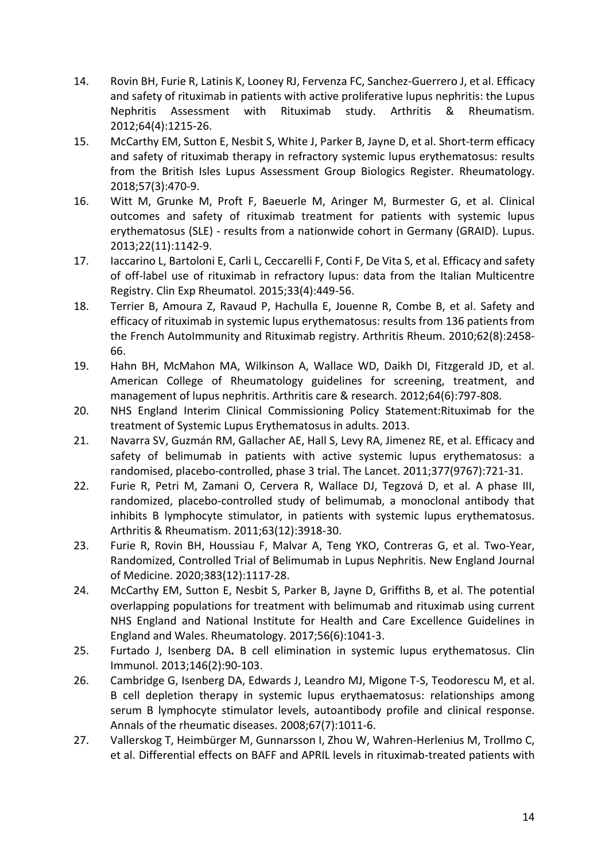- 14. Rovin BH, Furie R, Latinis K, Looney RJ, Fervenza FC, Sanchez‐Guerrero J, et al. Efficacy and safety of rituximab in patients with active proliferative lupus nephritis: the Lupus Nephritis Assessment with Rituximab study. Arthritis & Rheumatism. 2012;64(4):1215-26.
- 15. McCarthy EM, Sutton E, Nesbit S, White J, Parker B, Jayne D, et al. Short-term efficacy and safety of rituximab therapy in refractory systemic lupus erythematosus: results from the British Isles Lupus Assessment Group Biologics Register. Rheumatology. 2018;57(3):470-9.
- 16. Witt M, Grunke M, Proft F, Baeuerle M, Aringer M, Burmester G, et al. Clinical outcomes and safety of rituximab treatment for patients with systemic lupus erythematosus (SLE) - results from a nationwide cohort in Germany (GRAID). Lupus. 2013;22(11):1142-9.
- 17. Iaccarino L, Bartoloni E, Carli L, Ceccarelli F, Conti F, De Vita S, et al. Efficacy and safety of off-label use of rituximab in refractory lupus: data from the Italian Multicentre Registry. Clin Exp Rheumatol. 2015;33(4):449-56.
- 18. Terrier B, Amoura Z, Ravaud P, Hachulla E, Jouenne R, Combe B, et al. Safety and efficacy of rituximab in systemic lupus erythematosus: results from 136 patients from the French AutoImmunity and Rituximab registry. Arthritis Rheum. 2010;62(8):2458- 66.
- 19. Hahn BH, McMahon MA, Wilkinson A, Wallace WD, Daikh DI, Fitzgerald JD, et al. American College of Rheumatology guidelines for screening, treatment, and management of lupus nephritis. Arthritis care & research. 2012;64(6):797-808.
- 20. NHS England Interim Clinical Commissioning Policy Statement:Rituximab for the treatment of Systemic Lupus Erythematosus in adults. 2013.
- 21. Navarra SV, Guzmán RM, Gallacher AE, Hall S, Levy RA, Jimenez RE, et al. Efficacy and safety of belimumab in patients with active systemic lupus erythematosus: a randomised, placebo-controlled, phase 3 trial. The Lancet. 2011;377(9767):721-31.
- 22. Furie R, Petri M, Zamani O, Cervera R, Wallace DJ, Tegzová D, et al. A phase III, randomized, placebo-controlled study of belimumab, a monoclonal antibody that inhibits B lymphocyte stimulator, in patients with systemic lupus erythematosus. Arthritis & Rheumatism. 2011;63(12):3918-30.
- 23. Furie R, Rovin BH, Houssiau F, Malvar A, Teng YKO, Contreras G, et al. Two-Year, Randomized, Controlled Trial of Belimumab in Lupus Nephritis. New England Journal of Medicine. 2020;383(12):1117-28.
- 24. McCarthy EM, Sutton E, Nesbit S, Parker B, Jayne D, Griffiths B, et al. The potential overlapping populations for treatment with belimumab and rituximab using current NHS England and National Institute for Health and Care Excellence Guidelines in England and Wales. Rheumatology. 2017;56(6):1041-3.
- 25. Furtado J, Isenberg DA**.** B cell elimination in systemic lupus erythematosus. Clin Immunol. 2013;146(2):90-103.
- 26. Cambridge G, Isenberg DA, Edwards J, Leandro MJ, Migone T-S, Teodorescu M, et al. B cell depletion therapy in systemic lupus erythaematosus: relationships among serum B lymphocyte stimulator levels, autoantibody profile and clinical response. Annals of the rheumatic diseases. 2008;67(7):1011-6.
- 27. Vallerskog T, Heimbürger M, Gunnarsson I, Zhou W, Wahren-Herlenius M, Trollmo C, et al. Differential effects on BAFF and APRIL levels in rituximab-treated patients with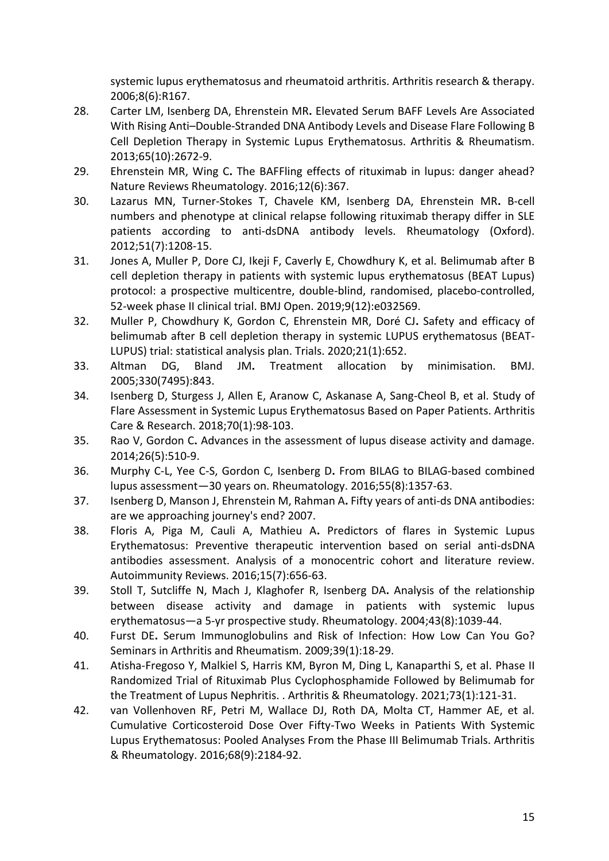systemic lupus erythematosus and rheumatoid arthritis. Arthritis research & therapy. 2006;8(6):R167.

- 28. Carter LM, Isenberg DA, Ehrenstein MR**.** Elevated Serum BAFF Levels Are Associated With Rising Anti–Double‐Stranded DNA Antibody Levels and Disease Flare Following B Cell Depletion Therapy in Systemic Lupus Erythematosus. Arthritis & Rheumatism. 2013;65(10):2672-9.
- 29. Ehrenstein MR, Wing C**.** The BAFFling effects of rituximab in lupus: danger ahead? Nature Reviews Rheumatology. 2016;12(6):367.
- 30. Lazarus MN, Turner-Stokes T, Chavele KM, Isenberg DA, Ehrenstein MR**.** B-cell numbers and phenotype at clinical relapse following rituximab therapy differ in SLE patients according to anti-dsDNA antibody levels. Rheumatology (Oxford). 2012;51(7):1208-15.
- 31. Jones A, Muller P, Dore CJ, Ikeji F, Caverly E, Chowdhury K, et al. Belimumab after B cell depletion therapy in patients with systemic lupus erythematosus (BEAT Lupus) protocol: a prospective multicentre, double-blind, randomised, placebo-controlled, 52-week phase II clinical trial. BMJ Open. 2019;9(12):e032569.
- 32. Muller P, Chowdhury K, Gordon C, Ehrenstein MR, Doré CJ**.** Safety and efficacy of belimumab after B cell depletion therapy in systemic LUPUS erythematosus (BEAT-LUPUS) trial: statistical analysis plan. Trials. 2020;21(1):652.
- 33. Altman DG, Bland JM**.** Treatment allocation by minimisation. BMJ. 2005;330(7495):843.
- 34. Isenberg D, Sturgess J, Allen E, Aranow C, Askanase A, Sang-Cheol B, et al. Study of Flare Assessment in Systemic Lupus Erythematosus Based on Paper Patients. Arthritis Care & Research. 2018;70(1):98-103.
- 35. Rao V, Gordon C**.** Advances in the assessment of lupus disease activity and damage. 2014;26(5):510-9.
- 36. Murphy C-L, Yee C-S, Gordon C, Isenberg D**.** From BILAG to BILAG-based combined lupus assessment—30 years on. Rheumatology. 2016;55(8):1357-63.
- 37. Isenberg D, Manson J, Ehrenstein M, Rahman A**.** Fifty years of anti-ds DNA antibodies: are we approaching journey's end? 2007.
- 38. Floris A, Piga M, Cauli A, Mathieu A**.** Predictors of flares in Systemic Lupus Erythematosus: Preventive therapeutic intervention based on serial anti-dsDNA antibodies assessment. Analysis of a monocentric cohort and literature review. Autoimmunity Reviews. 2016;15(7):656-63.
- 39. Stoll T, Sutcliffe N, Mach J, Klaghofer R, Isenberg DA**.** Analysis of the relationship between disease activity and damage in patients with systemic lupus erythematosus—a 5-yr prospective study. Rheumatology. 2004;43(8):1039-44.
- 40. Furst DE**.** Serum Immunoglobulins and Risk of Infection: How Low Can You Go? Seminars in Arthritis and Rheumatism. 2009;39(1):18-29.
- 41. Atisha-Fregoso Y, Malkiel S, Harris KM, Byron M, Ding L, Kanaparthi S, et al. Phase II Randomized Trial of Rituximab Plus Cyclophosphamide Followed by Belimumab for the Treatment of Lupus Nephritis. . Arthritis & Rheumatology. 2021;73(1):121-31.
- 42. van Vollenhoven RF, Petri M, Wallace DJ, Roth DA, Molta CT, Hammer AE, et al. Cumulative Corticosteroid Dose Over Fifty-Two Weeks in Patients With Systemic Lupus Erythematosus: Pooled Analyses From the Phase III Belimumab Trials. Arthritis & Rheumatology. 2016;68(9):2184-92.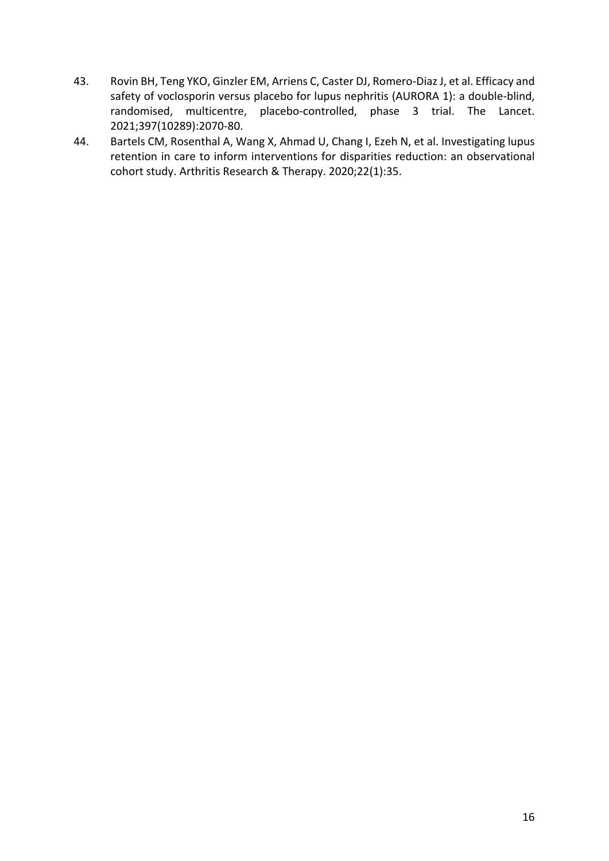- 43. Rovin BH, Teng YKO, Ginzler EM, Arriens C, Caster DJ, Romero-Diaz J, et al. Efficacy and safety of voclosporin versus placebo for lupus nephritis (AURORA 1): a double-blind, randomised, multicentre, placebo-controlled, phase 3 trial. The Lancet. 2021;397(10289):2070-80.
- 44. Bartels CM, Rosenthal A, Wang X, Ahmad U, Chang I, Ezeh N, et al. Investigating lupus retention in care to inform interventions for disparities reduction: an observational cohort study. Arthritis Research & Therapy. 2020;22(1):35.